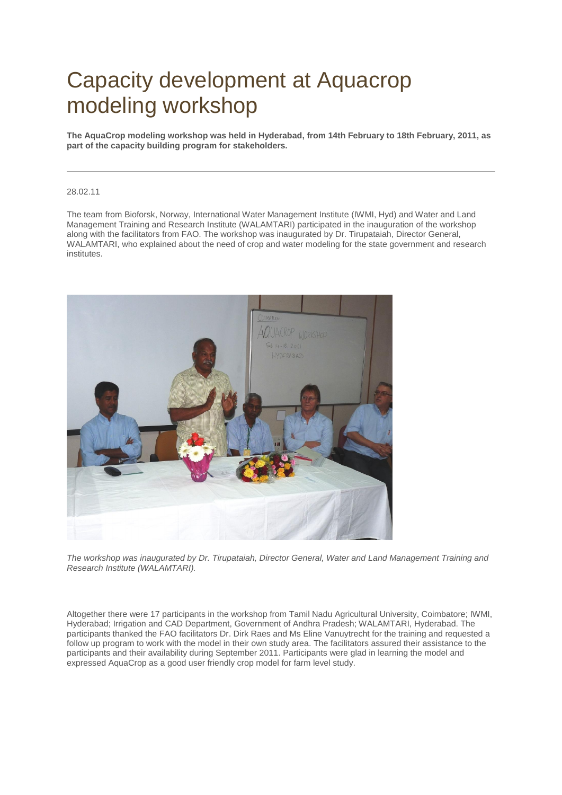## Capacity development at Aquacrop modeling workshop

**The AquaCrop modeling workshop was held in Hyderabad, from 14th February to 18th February, 2011, as part of the capacity building program for stakeholders.**

## 28.02.11

The team from Bioforsk, Norway, International Water Management Institute (IWMI, Hyd) and Water and Land Management Training and Research Institute (WALAMTARI) participated in the inauguration of the workshop along with the facilitators from FAO. The workshop was inaugurated by Dr. Tirupataiah, Director General, WALAMTARI, who explained about the need of crop and water modeling for the state government and research institutes.



*The workshop was inaugurated by Dr. Tirupataiah, Director General, Water and Land Management Training and Research Institute (WALAMTARI).*

Altogether there were 17 participants in the workshop from Tamil Nadu Agricultural University, Coimbatore; IWMI, Hyderabad; Irrigation and CAD Department, Government of Andhra Pradesh; WALAMTARI, Hyderabad. The participants thanked the FAO facilitators Dr. Dirk Raes and Ms Eline Vanuytrecht for the training and requested a follow up program to work with the model in their own study area. The facilitators assured their assistance to the participants and their availability during September 2011. Participants were glad in learning the model and expressed AquaCrop as a good user friendly crop model for farm level study.